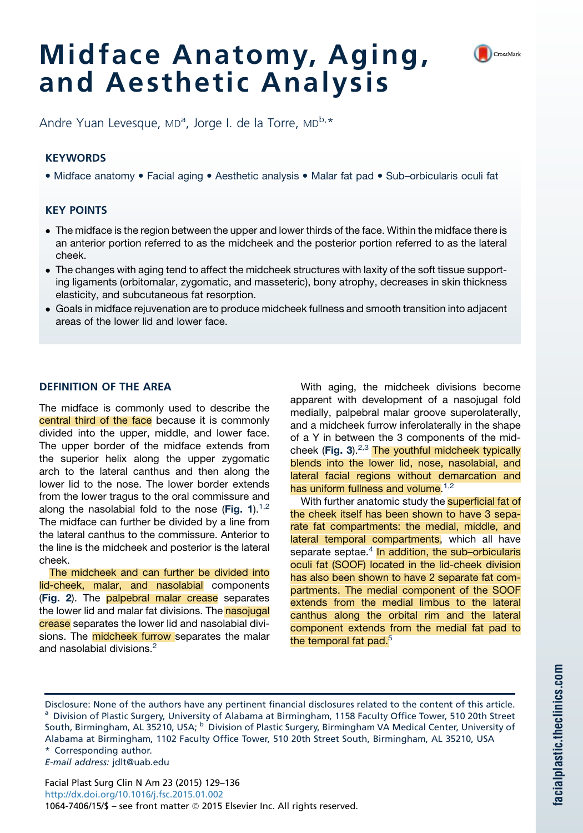# Midface Anatomy, Aging, and Aesthetic Analysis



Andre Yuan Levesque, MD<sup>a</sup>, Jorge I. de la Torre, MD<sup>b,</sup>\*

# **KEYWORDS**

. Midface anatomy . Facial aging . Aesthetic analysis . Malar fat pad . Sub-orbicularis oculi fat

# KEY POINTS

- ! The midface is the region between the upper and lower thirds of the face. Within the midface there is an anterior portion referred to as the midcheek and the posterior portion referred to as the lateral cheek.
- . The changes with aging tend to affect the midcheek structures with laxity of the soft tissue supporting ligaments (orbitomalar, zygomatic, and masseteric), bony atrophy, decreases in skin thickness elasticity, and subcutaneous fat resorption.
- ! Goals in midface rejuvenation are to produce midcheek fullness and smooth transition into adjacent areas of the lower lid and lower face.

## DEFINITION OF THE AREA

The midface is commonly used to describe the central third of the face because it is commonly divided into the upper, middle, and lower face. The upper border of the midface extends from the superior helix along the upper zygomatic arch to the lateral canthus and then along the lower lid to the nose. The lower border extends from the lower tragus to the oral commissure and along the nasolabial fold to the nose ([Fig. 1](#page-1-0)).<sup>[1,2](#page-5-0)</sup> The midface can further be divided by a line from the lateral canthus to the commissure. Anterior to the line is the midcheek and posterior is the lateral cheek.

The midcheek and can further be divided into lid-cheek, malar, and nasolabial components ([Fig. 2](#page-1-0)). The palpebral malar crease separates the lower lid and malar fat divisions. The **nasojugal** crease separates the lower lid and nasolabial divisions. The **midcheek furrow** separates the malar and nasolabial divisions.<sup>[2](#page-5-0)</sup>

With aging, the midcheek divisions become apparent with development of a nasojugal fold medially, palpebral malar groove superolaterally, and a midcheek furrow inferolaterally in the shape of a Y in between the 3 components of the mid-cheek ([Fig. 3](#page-1-0)). $2,3$  The youthful midcheek typically blends into the lower lid, nose, nasolabial, and lateral facial regions without demarcation and has uniform fullness and volume. $1,2$ 

With further anatomic study the **superficial fat of** the cheek itself has been shown to have 3 separate fat compartments: the medial, middle, and lateral temporal compartments, which all have separate septae.<sup>[4](#page-5-0)</sup> In addition, the sub-orbicularis oculi fat (SOOF) located in the lid-cheek division has also been shown to have 2 separate fat compartments. The medial component of the SOOF extends from the medial limbus to the lateral canthus along the orbital rim and the lateral component extends from the medial fat pad to the temporal fat pad. $<sup>5</sup>$  $<sup>5</sup>$  $<sup>5</sup>$ </sup>

Disclosure: None of the authors have any pertinent financial disclosures related to the content of this article. a Division of Plastic Surgery, University of Alabama at Birmingham, 1158 Faculty Office Tower, 510 20th Street South, Birmingham, AL 35210, USA; <sup>b</sup> Division of Plastic Surgery, Birmingham VA Medical Center, University of Alabama at Birmingham, 1102 Faculty Office Tower, 510 20th Street South, Birmingham, AL 35210, USA

E-mail address: [jdlt@uab.edu](mailto:jdlt@uab.edu)

Facial Plast Surg Clin N Am 23 (2015) 129–136 <http://dx.doi.org/10.1016/j.fsc.2015.01.002> 1064-7406/15/\$ - see front matter © 2015 Elsevier Inc. All rights reserved.

<sup>\*</sup> Corresponding author.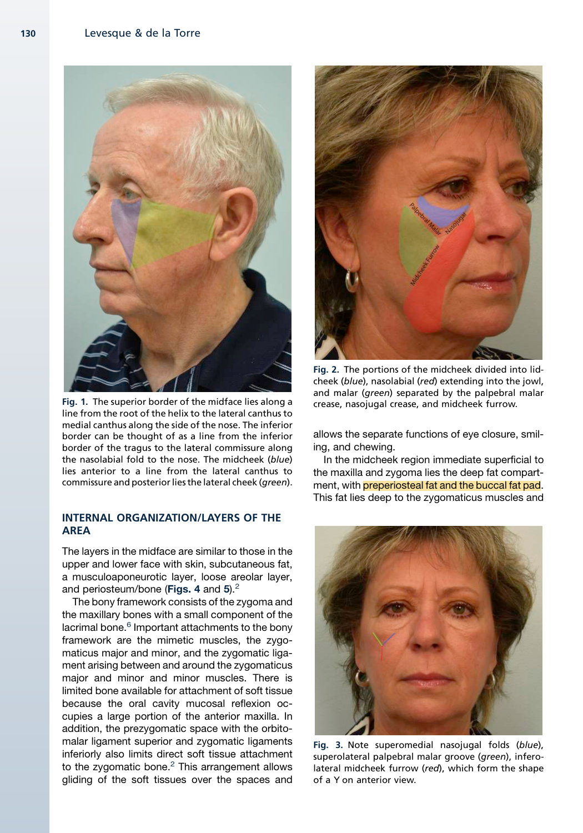<span id="page-1-0"></span>

Fig. 1. The superior border of the midface lies along a line from the root of the helix to the lateral canthus to medial canthus along the side of the nose. The inferior border can be thought of as a line from the inferior border of the tragus to the lateral commissure along the nasolabial fold to the nose. The midcheek (blue) lies anterior to a line from the lateral canthus to commissure and posterior lies the lateral cheek (green).

## INTERNAL ORGANIZATION/LAYERS OF THE AREA

The layers in the midface are similar to those in the upper and lower face with skin, subcutaneous fat, a musculoaponeurotic layer, loose areolar layer, and periosteum/bone ([Figs. 4](#page-2-0) and [5](#page-2-0)). $^2$  $^2$ 

The bony framework consists of the zygoma and the maxillary bones with a small component of the lacrimal bone.<sup>[6](#page-5-0)</sup> Important attachments to the bony framework are the mimetic muscles, the zygomaticus major and minor, and the zygomatic ligament arising between and around the zygomaticus major and minor and minor muscles. There is limited bone available for attachment of soft tissue because the oral cavity mucosal reflexion occupies a large portion of the anterior maxilla. In addition, the prezygomatic space with the orbitomalar ligament superior and zygomatic ligaments inferiorly also limits direct soft tissue attachment to the zygomatic bone. $2$  This arrangement allows gliding of the soft tissues over the spaces and



Fig. 2. The portions of the midcheek divided into lidcheek (blue), nasolabial (red) extending into the jowl, and malar (green) separated by the palpebral malar crease, nasojugal crease, and midcheek furrow.

allows the separate functions of eye closure, smiling, and chewing.

In the midcheek region immediate superficial to the maxilla and zygoma lies the deep fat compartment, with preperiosteal fat and the buccal fat pad. This fat lies deep to the zygomaticus muscles and



Fig. 3. Note superomedial nasojugal folds (blue), superolateral palpebral malar groove (green), inferolateral midcheek furrow (red), which form the shape of a Y on anterior view.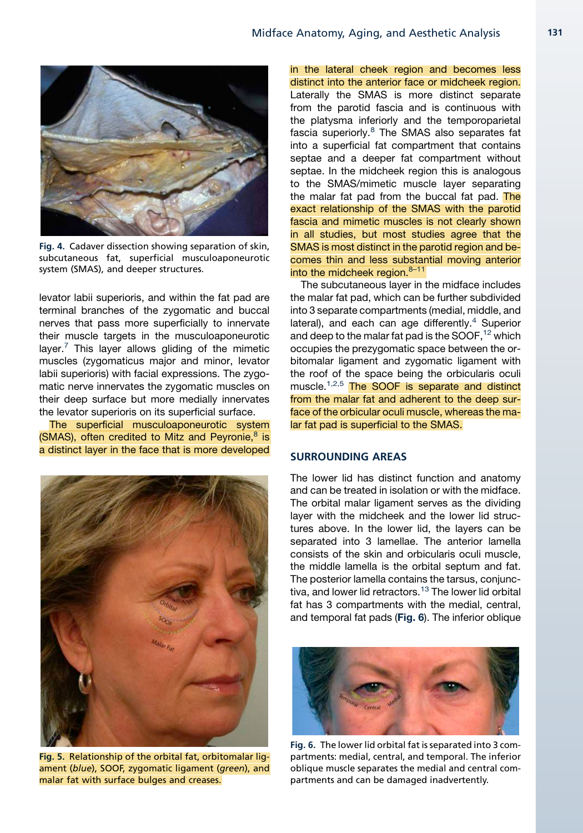<span id="page-2-0"></span>

Fig. 4. Cadaver dissection showing separation of skin, subcutaneous fat, superficial musculoaponeurotic system (SMAS), and deeper structures.

levator labii superioris, and within the fat pad are terminal branches of the zygomatic and buccal nerves that pass more superficially to innervate their muscle targets in the musculoaponeurotic layer. $<sup>7</sup>$  $<sup>7</sup>$  $<sup>7</sup>$  This layer allows gliding of the mimetic</sup> muscles (zygomaticus major and minor, levator labii superioris) with facial expressions. The zygomatic nerve innervates the zygomatic muscles on their deep surface but more medially innervates the levator superioris on its superficial surface.

The superficial musculoaponeurotic system (SMAS), often credited to Mitz and Peyronie, $8$  is a distinct layer in the face that is more developed



Fig. 5. Relationship of the orbital fat, orbitomalar ligament (blue), SOOF, zygomatic ligament (green), and malar fat with surface bulges and creases.

in the lateral cheek region and becomes less distinct into the anterior face or midcheek region. Laterally the SMAS is more distinct separate from the parotid fascia and is continuous with the platysma inferiorly and the temporoparietal fascia superiorly.[8](#page-6-0) The SMAS also separates fat into a superficial fat compartment that contains septae and a deeper fat compartment without septae. In the midcheek region this is analogous to the SMAS/mimetic muscle layer separating the malar fat pad from the buccal fat pad. The exact relationship of the SMAS with the parotid fascia and mimetic muscles is not clearly shown in all studies, but most studies agree that the SMAS is most distinct in the parotid region and becomes thin and less substantial moving anterior into the midcheek region.<sup>8-11</sup>

The subcutaneous layer in the midface includes the malar fat pad, which can be further subdivided into 3 separate compartments (medial, middle, and lateral), and each can age differently. $4$  Superior and deep to the malar fat pad is the SOOF,<sup>[12](#page-6-0)</sup> which occupies the prezygomatic space between the orbitomalar ligament and zygomatic ligament with the roof of the space being the orbicularis oculi muscle.[1,2,5](#page-5-0) The SOOF is separate and distinct from the malar fat and adherent to the deep surface of the orbicular oculi muscle, whereas the malar fat pad is superficial to the SMAS.

## SURROUNDING AREAS

The lower lid has distinct function and anatomy and can be treated in isolation or with the midface. The orbital malar ligament serves as the dividing layer with the midcheek and the lower lid structures above. In the lower lid, the layers can be separated into 3 lamellae. The anterior lamella consists of the skin and orbicularis oculi muscle, the middle lamella is the orbital septum and fat. The posterior lamella contains the tarsus, conjunc-tiva, and lower lid retractors.<sup>[13](#page-6-0)</sup> The lower lid orbital fat has 3 compartments with the medial, central, and temporal fat pads (Fig. 6). The inferior oblique



Fig. 6. The lower lid orbital fat is separated into 3 compartments: medial, central, and temporal. The inferior oblique muscle separates the medial and central compartments and can be damaged inadvertently.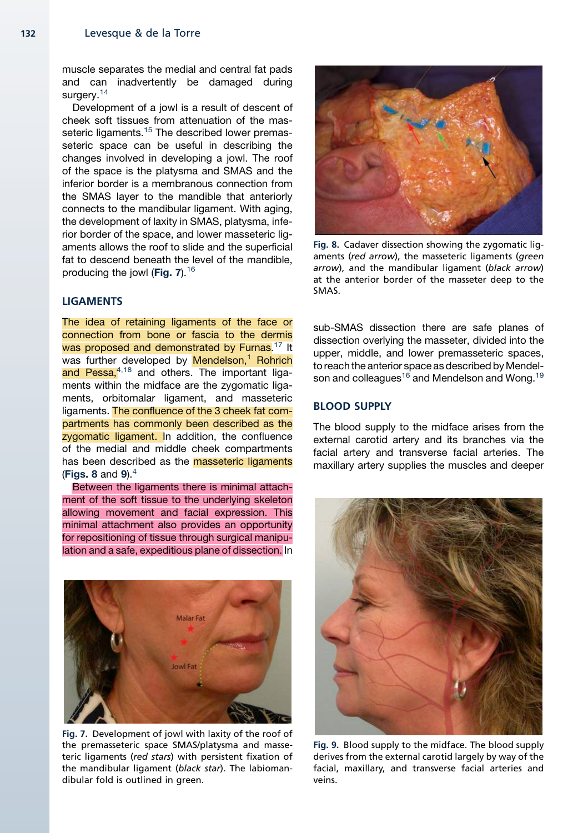muscle separates the medial and central fat pads and can inadvertently be damaged during surgery.<sup>[14](#page-6-0)</sup>

Development of a jowl is a result of descent of cheek soft tissues from attenuation of the mas-seteric ligaments.<sup>[15](#page-6-0)</sup> The described lower premasseteric space can be useful in describing the changes involved in developing a jowl. The roof of the space is the platysma and SMAS and the inferior border is a membranous connection from the SMAS layer to the mandible that anteriorly connects to the mandibular ligament. With aging, the development of laxity in SMAS, platysma, inferior border of the space, and lower masseteric ligaments allows the roof to slide and the superficial fat to descend beneath the level of the mandible, producing the jowl (Fig. 7). $16$ 

# LIGAMENTS

The idea of retaining ligaments of the face or connection from bone or fascia to the dermis was proposed and demonstrated by Furnas.<sup>[17](#page-6-0)</sup> It was further developed by Mendelson,<sup>[1](#page-5-0)</sup> Rohrich and Pessa,<sup>[4,18](#page-5-0)</sup> and others. The important ligaments within the midface are the zygomatic ligaments, orbitomalar ligament, and masseteric ligaments. The confluence of the 3 cheek fat compartments has commonly been described as the zygomatic ligament. In addition, the confluence of the medial and middle cheek compartments has been described as the **masseteric ligaments** (Figs. 8 and 9). $<sup>4</sup>$  $<sup>4</sup>$  $<sup>4</sup>$ </sup>

Between the ligaments there is minimal attachment of the soft tissue to the underlying skeleton allowing movement and facial expression. This minimal attachment also provides an opportunity for repositioning of tissue through surgical manipulation and a safe, expeditious plane of dissection. In



Fig. 7. Development of jowl with laxity of the roof of the premasseteric space SMAS/platysma and masseteric ligaments (red stars) with persistent fixation of the mandibular ligament (black star). The labiomandibular fold is outlined in green.



Fig. 8. Cadaver dissection showing the zygomatic ligaments (red arrow), the masseteric ligaments (green arrow), and the mandibular ligament (black arrow) at the anterior border of the masseter deep to the SMAS.

sub-SMAS dissection there are safe planes of dissection overlying the masseter, divided into the upper, middle, and lower premasseteric spaces, to reach the anterior space as described by Mendel-son and colleagues<sup>16</sup> and Mendelson and Wong.<sup>[19](#page-6-0)</sup>

#### BLOOD SUPPLY

The blood supply to the midface arises from the external carotid artery and its branches via the facial artery and transverse facial arteries. The maxillary artery supplies the muscles and deeper



Fig. 9. Blood supply to the midface. The blood supply derives from the external carotid largely by way of the facial, maxillary, and transverse facial arteries and veins.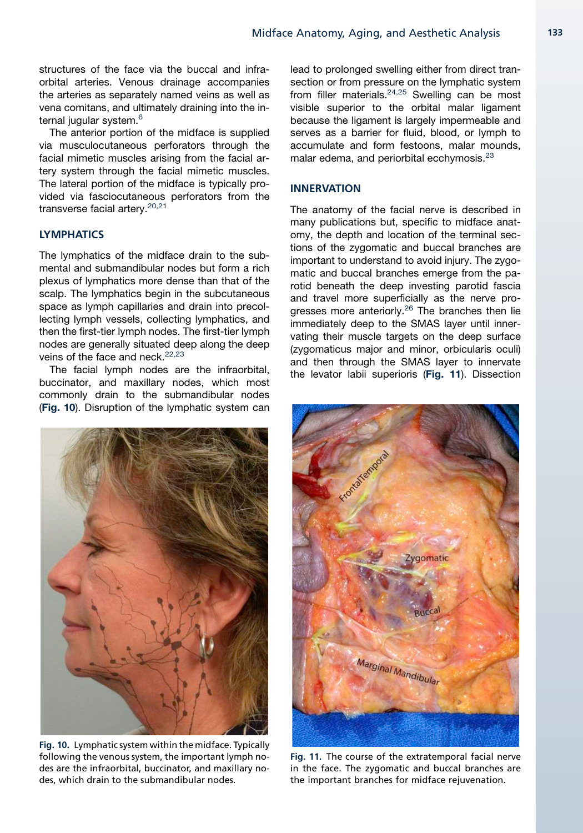structures of the face via the buccal and infraorbital arteries. Venous drainage accompanies the arteries as separately named veins as well as vena comitans, and ultimately draining into the in-ternal jugular system.<sup>[6](#page-5-0)</sup>

The anterior portion of the midface is supplied via musculocutaneous perforators through the facial mimetic muscles arising from the facial artery system through the facial mimetic muscles. The lateral portion of the midface is typically provided via fasciocutaneous perforators from the transverse facial artery.<sup>[20,21](#page-6-0)</sup>

## LYMPHATICS

The lymphatics of the midface drain to the submental and submandibular nodes but form a rich plexus of lymphatics more dense than that of the scalp. The lymphatics begin in the subcutaneous space as lymph capillaries and drain into precollecting lymph vessels, collecting lymphatics, and then the first-tier lymph nodes. The first-tier lymph nodes are generally situated deep along the deep veins of the face and neck.<sup>[22,23](#page-6-0)</sup>

The facial lymph nodes are the infraorbital, buccinator, and maxillary nodes, which most commonly drain to the submandibular nodes (Fig. 10). Disruption of the lymphatic system can



Fig. 10. Lymphatic system within the midface. Typically following the venous system, the important lymph nodes are the infraorbital, buccinator, and maxillary nodes, which drain to the submandibular nodes.

lead to prolonged swelling either from direct transection or from pressure on the lymphatic system from filler materials.<sup>[24,25](#page-6-0)</sup> Swelling can be most visible superior to the orbital malar ligament because the ligament is largely impermeable and serves as a barrier for fluid, blood, or lymph to accumulate and form festoons, malar mounds, malar edema, and periorbital ecchymosis.<sup>[23](#page-6-0)</sup>

#### INNERVATION

The anatomy of the facial nerve is described in many publications but, specific to midface anatomy, the depth and location of the terminal sections of the zygomatic and buccal branches are important to understand to avoid injury. The zygomatic and buccal branches emerge from the parotid beneath the deep investing parotid fascia and travel more superficially as the nerve pro-gresses more anteriorly.<sup>[26](#page-6-0)</sup> The branches then lie immediately deep to the SMAS layer until innervating their muscle targets on the deep surface (zygomaticus major and minor, orbicularis oculi) and then through the SMAS layer to innervate the levator labii superioris (Fig. 11). Dissection



Fig. 11. The course of the extratemporal facial nerve in the face. The zygomatic and buccal branches are the important branches for midface rejuvenation.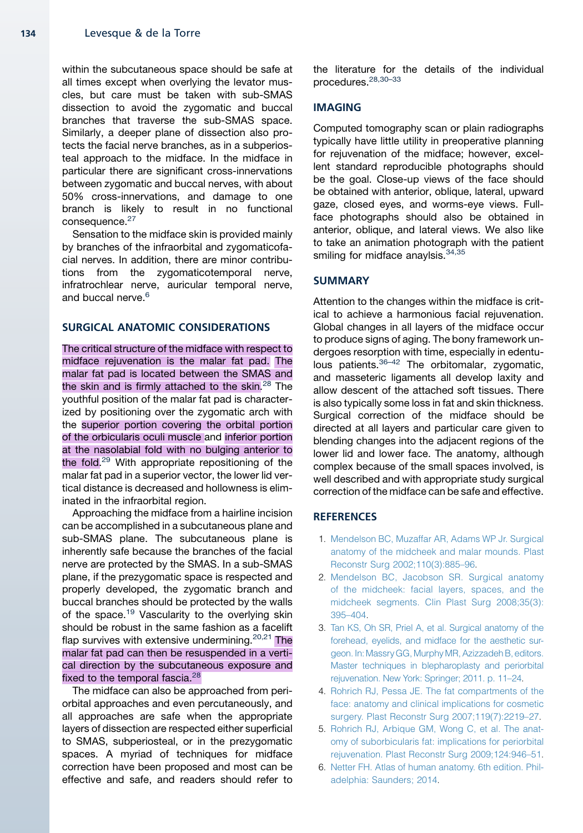<span id="page-5-0"></span>within the subcutaneous space should be safe at all times except when overlying the levator muscles, but care must be taken with sub-SMAS dissection to avoid the zygomatic and buccal branches that traverse the sub-SMAS space. Similarly, a deeper plane of dissection also protects the facial nerve branches, as in a subperiosteal approach to the midface. In the midface in particular there are significant cross-innervations between zygomatic and buccal nerves, with about 50% cross-innervations, and damage to one branch is likely to result in no functional consequence.<sup>[27](#page-6-0)</sup>

Sensation to the midface skin is provided mainly by branches of the infraorbital and zygomaticofacial nerves. In addition, there are minor contributions from the zygomaticotemporal nerve, infratrochlear nerve, auricular temporal nerve, and buccal nerve.<sup>6</sup>

#### SURGICAL ANATOMIC CONSIDERATIONS

The critical structure of the midface with respect to midface rejuvenation is the malar fat pad. The malar fat pad is located between the SMAS and the skin and is firmly attached to the skin. $^{28}$  $^{28}$  $^{28}$  The youthful position of the malar fat pad is characterized by positioning over the zygomatic arch with the superior portion covering the orbital portion of the orbicularis oculi muscle and inferior portion at the nasolabial fold with no bulging anterior to the fold.<sup>29</sup> With appropriate repositioning of the malar fat pad in a superior vector, the lower lid vertical distance is decreased and hollowness is eliminated in the infraorbital region.

Approaching the midface from a hairline incision can be accomplished in a subcutaneous plane and sub-SMAS plane. The subcutaneous plane is inherently safe because the branches of the facial nerve are protected by the SMAS. In a sub-SMAS plane, if the prezygomatic space is respected and properly developed, the zygomatic branch and buccal branches should be protected by the walls of the space.<sup>[19](#page-6-0)</sup> Vascularity to the overlying skin should be robust in the same fashion as a facelift flap survives with extensive undermining.<sup>[20,21](#page-6-0)</sup> The malar fat pad can then be resuspended in a vertical direction by the subcutaneous exposure and fixed to the temporal fascia. $^{28}$  $^{28}$  $^{28}$ 

The midface can also be approached from periorbital approaches and even percutaneously, and all approaches are safe when the appropriate layers of dissection are respected either superficial to SMAS, subperiosteal, or in the prezygomatic spaces. A myriad of techniques for midface correction have been proposed and most can be effective and safe, and readers should refer to

the literature for the details of the individual procedures.[28,30–33](#page-6-0)

#### IMAGING

Computed tomography scan or plain radiographs typically have little utility in preoperative planning for rejuvenation of the midface; however, excellent standard reproducible photographs should be the goal. Close-up views of the face should be obtained with anterior, oblique, lateral, upward gaze, closed eyes, and worms-eye views. Fullface photographs should also be obtained in anterior, oblique, and lateral views. We also like to take an animation photograph with the patient smiling for midface anaylsis.  $34,35$ 

#### SUMMARY

Attention to the changes within the midface is critical to achieve a harmonious facial rejuvenation. Global changes in all layers of the midface occur to produce signs of aging. The bony framework undergoes resorption with time, especially in edentulous patients.[36–42](#page-6-0) The orbitomalar, zygomatic, and masseteric ligaments all develop laxity and allow descent of the attached soft tissues. There is also typically some loss in fat and skin thickness. Surgical correction of the midface should be directed at all layers and particular care given to blending changes into the adjacent regions of the lower lid and lower face. The anatomy, although complex because of the small spaces involved, is well described and with appropriate study surgical correction of the midface can be safe and effective.

#### **REFERENCES**

- 1. [Mendelson BC, Muzaffar AR, Adams WP Jr. Surgical](http://refhub.elsevier.com/S1064-7406(15)00003-6/sref1) [anatomy of the midcheek and malar mounds. Plast](http://refhub.elsevier.com/S1064-7406(15)00003-6/sref1) [Reconstr Surg 2002;110\(3\):885–96](http://refhub.elsevier.com/S1064-7406(15)00003-6/sref1).
- 2. [Mendelson BC, Jacobson SR. Surgical anatomy](http://refhub.elsevier.com/S1064-7406(15)00003-6/sref2) [of the midcheek: facial layers, spaces, and the](http://refhub.elsevier.com/S1064-7406(15)00003-6/sref2) [midcheek segments. Clin Plast Surg 2008;35\(3\):](http://refhub.elsevier.com/S1064-7406(15)00003-6/sref2) [395–404.](http://refhub.elsevier.com/S1064-7406(15)00003-6/sref2)
- 3. [Tan KS, Oh SR, Priel A, et al. Surgical anatomy of the](http://refhub.elsevier.com/S1064-7406(15)00003-6/sref42) [forehead, eyelids, and midface for the aesthetic sur](http://refhub.elsevier.com/S1064-7406(15)00003-6/sref42)geon. In: Massry GG, Murphy MR, Azizzadeh B, editors. [Master techniques in blepharoplasty and periorbital](http://refhub.elsevier.com/S1064-7406(15)00003-6/sref42) [rejuvenation. New York: Springer; 2011. p. 11–24.](http://refhub.elsevier.com/S1064-7406(15)00003-6/sref42)
- 4. [Rohrich RJ, Pessa JE. The fat compartments of the](http://refhub.elsevier.com/S1064-7406(15)00003-6/sref3) [face: anatomy and clinical implications for cosmetic](http://refhub.elsevier.com/S1064-7406(15)00003-6/sref3) [surgery. Plast Reconstr Surg 2007;119\(7\):2219–27.](http://refhub.elsevier.com/S1064-7406(15)00003-6/sref3)
- 5. [Rohrich RJ, Arbique GM, Wong C, et al. The anat](http://refhub.elsevier.com/S1064-7406(15)00003-6/sref4)[omy of suborbicularis fat: implications for periorbital](http://refhub.elsevier.com/S1064-7406(15)00003-6/sref4) [rejuvenation. Plast Reconstr Surg 2009;124:946–51.](http://refhub.elsevier.com/S1064-7406(15)00003-6/sref4)
- 6. [Netter FH. Atlas of human anatomy. 6th edition. Phil](http://refhub.elsevier.com/S1064-7406(15)00003-6/sref5)[adelphia: Saunders; 2014.](http://refhub.elsevier.com/S1064-7406(15)00003-6/sref5)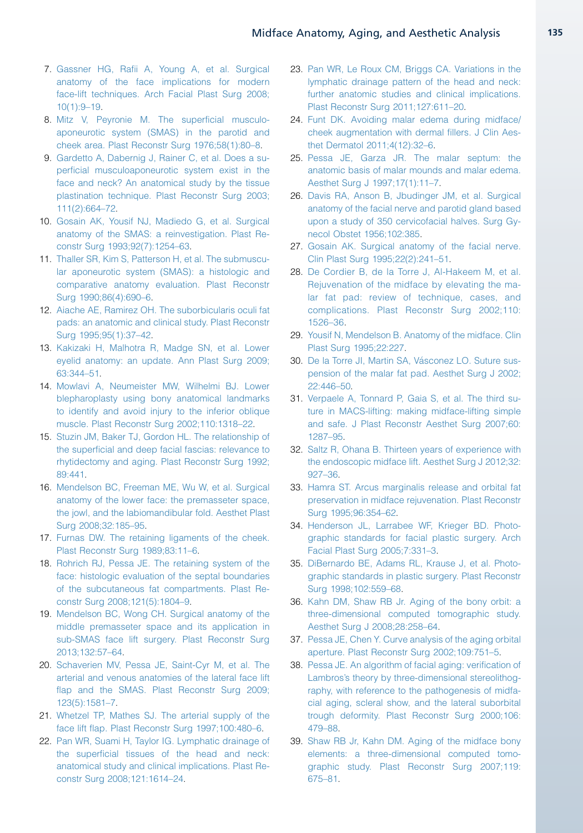- <span id="page-6-0"></span>7. [Gassner HG, Rafii A, Young A, et al. Surgical](http://refhub.elsevier.com/S1064-7406(15)00003-6/sref6) [anatomy of the face implications for modern](http://refhub.elsevier.com/S1064-7406(15)00003-6/sref6) [face-lift techniques. Arch Facial Plast Surg 2008;](http://refhub.elsevier.com/S1064-7406(15)00003-6/sref6) [10\(1\):9–19.](http://refhub.elsevier.com/S1064-7406(15)00003-6/sref6)
- 8. [Mitz V, Peyronie M. The superficial musculo](http://refhub.elsevier.com/S1064-7406(15)00003-6/sref7)[aponeurotic system \(SMAS\) in the parotid and](http://refhub.elsevier.com/S1064-7406(15)00003-6/sref7) [cheek area. Plast Reconstr Surg 1976;58\(1\):80–8.](http://refhub.elsevier.com/S1064-7406(15)00003-6/sref7)
- 9. [Gardetto A, Dabernig J, Rainer C, et al. Does a su](http://refhub.elsevier.com/S1064-7406(15)00003-6/sref8)[perficial musculoaponeurotic system exist in the](http://refhub.elsevier.com/S1064-7406(15)00003-6/sref8) [face and neck? An anatomical study by the tissue](http://refhub.elsevier.com/S1064-7406(15)00003-6/sref8) [plastination technique. Plast Reconstr Surg 2003;](http://refhub.elsevier.com/S1064-7406(15)00003-6/sref8) [111\(2\):664–72.](http://refhub.elsevier.com/S1064-7406(15)00003-6/sref8)
- 10. [Gosain AK, Yousif NJ, Madiedo G, et al. Surgical](http://refhub.elsevier.com/S1064-7406(15)00003-6/sref9) [anatomy of the SMAS: a reinvestigation. Plast Re](http://refhub.elsevier.com/S1064-7406(15)00003-6/sref9)[constr Surg 1993;92\(7\):1254–63.](http://refhub.elsevier.com/S1064-7406(15)00003-6/sref9)
- 11. [Thaller SR, Kim S, Patterson H, et al. The submuscu](http://refhub.elsevier.com/S1064-7406(15)00003-6/sref10)[lar aponeurotic system \(SMAS\): a histologic and](http://refhub.elsevier.com/S1064-7406(15)00003-6/sref10) [comparative anatomy evaluation. Plast Reconstr](http://refhub.elsevier.com/S1064-7406(15)00003-6/sref10) [Surg 1990;86\(4\):690–6](http://refhub.elsevier.com/S1064-7406(15)00003-6/sref10).
- 12. [Aiache AE, Ramirez OH. The suborbicularis oculi fat](http://refhub.elsevier.com/S1064-7406(15)00003-6/sref11) [pads: an anatomic and clinical study. Plast Reconstr](http://refhub.elsevier.com/S1064-7406(15)00003-6/sref11) [Surg 1995;95\(1\):37–42](http://refhub.elsevier.com/S1064-7406(15)00003-6/sref11).
- 13. [Kakizaki H, Malhotra R, Madge SN, et al. Lower](http://refhub.elsevier.com/S1064-7406(15)00003-6/sref12) [eyelid anatomy: an update. Ann Plast Surg 2009;](http://refhub.elsevier.com/S1064-7406(15)00003-6/sref12) [63:344–51.](http://refhub.elsevier.com/S1064-7406(15)00003-6/sref12)
- 14. [Mowlavi A, Neumeister MW, Wilhelmi BJ. Lower](http://refhub.elsevier.com/S1064-7406(15)00003-6/sref13) [blepharoplasty using bony anatomical landmarks](http://refhub.elsevier.com/S1064-7406(15)00003-6/sref13) [to identify and avoid injury to the inferior oblique](http://refhub.elsevier.com/S1064-7406(15)00003-6/sref13) [muscle. Plast Reconstr Surg 2002;110:1318–22](http://refhub.elsevier.com/S1064-7406(15)00003-6/sref13).
- 15. [Stuzin JM, Baker TJ, Gordon HL. The relationship of](http://refhub.elsevier.com/S1064-7406(15)00003-6/sref14) [the superficial and deep facial fascias: relevance to](http://refhub.elsevier.com/S1064-7406(15)00003-6/sref14) [rhytidectomy and aging. Plast Reconstr Surg 1992;](http://refhub.elsevier.com/S1064-7406(15)00003-6/sref14) [89:441](http://refhub.elsevier.com/S1064-7406(15)00003-6/sref14).
- 16. [Mendelson BC, Freeman ME, Wu W, et al. Surgical](http://refhub.elsevier.com/S1064-7406(15)00003-6/sref15) [anatomy of the lower face: the premasseter space,](http://refhub.elsevier.com/S1064-7406(15)00003-6/sref15) [the jowl, and the labiomandibular fold. Aesthet Plast](http://refhub.elsevier.com/S1064-7406(15)00003-6/sref15) [Surg 2008;32:185–95](http://refhub.elsevier.com/S1064-7406(15)00003-6/sref15).
- 17. [Furnas DW. The retaining ligaments of the cheek.](http://refhub.elsevier.com/S1064-7406(15)00003-6/sref16) [Plast Reconstr Surg 1989;83:11–6](http://refhub.elsevier.com/S1064-7406(15)00003-6/sref16).
- 18. [Rohrich RJ, Pessa JE. The retaining system of the](http://refhub.elsevier.com/S1064-7406(15)00003-6/sref17) [face: histologic evaluation of the septal boundaries](http://refhub.elsevier.com/S1064-7406(15)00003-6/sref17) [of the subcutaneous fat compartments. Plast Re](http://refhub.elsevier.com/S1064-7406(15)00003-6/sref17)[constr Surg 2008;121\(5\):1804–9.](http://refhub.elsevier.com/S1064-7406(15)00003-6/sref17)
- 19. [Mendelson BC, Wong CH. Surgical anatomy of the](http://refhub.elsevier.com/S1064-7406(15)00003-6/sref18) [middle premasseter space and its application in](http://refhub.elsevier.com/S1064-7406(15)00003-6/sref18) [sub-SMAS face lift surgery. Plast Reconstr Surg](http://refhub.elsevier.com/S1064-7406(15)00003-6/sref18) [2013;132:57–64.](http://refhub.elsevier.com/S1064-7406(15)00003-6/sref18)
- 20. [Schaverien MV, Pessa JE, Saint-Cyr M, et al. The](http://refhub.elsevier.com/S1064-7406(15)00003-6/sref19) [arterial and venous anatomies of the lateral face lift](http://refhub.elsevier.com/S1064-7406(15)00003-6/sref19) [flap and the SMAS. Plast Reconstr Surg 2009;](http://refhub.elsevier.com/S1064-7406(15)00003-6/sref19) [123\(5\):1581–7.](http://refhub.elsevier.com/S1064-7406(15)00003-6/sref19)
- 21. [Whetzel TP, Mathes SJ. The arterial supply of the](http://refhub.elsevier.com/S1064-7406(15)00003-6/sref20) [face lift flap. Plast Reconstr Surg 1997;100:480–6](http://refhub.elsevier.com/S1064-7406(15)00003-6/sref20).
- 22. [Pan WR, Suami H, Taylor IG. Lymphatic drainage of](http://refhub.elsevier.com/S1064-7406(15)00003-6/sref21) [the superficial tissues of the head and neck:](http://refhub.elsevier.com/S1064-7406(15)00003-6/sref21) [anatomical study and clinical implications. Plast Re](http://refhub.elsevier.com/S1064-7406(15)00003-6/sref21)[constr Surg 2008;121:1614–24](http://refhub.elsevier.com/S1064-7406(15)00003-6/sref21).
- 23. [Pan WR, Le Roux CM, Briggs CA. Variations in the](http://refhub.elsevier.com/S1064-7406(15)00003-6/sref22) [lymphatic drainage pattern of the head and neck:](http://refhub.elsevier.com/S1064-7406(15)00003-6/sref22) [further anatomic studies and clinical implications.](http://refhub.elsevier.com/S1064-7406(15)00003-6/sref22) [Plast Reconstr Surg 2011;127:611–20.](http://refhub.elsevier.com/S1064-7406(15)00003-6/sref22)
- 24. [Funt DK. Avoiding malar edema during midface/](http://refhub.elsevier.com/S1064-7406(15)00003-6/sref23) [cheek augmentation with dermal fillers. J Clin Aes](http://refhub.elsevier.com/S1064-7406(15)00003-6/sref23)[thet Dermatol 2011;4\(12\):32–6](http://refhub.elsevier.com/S1064-7406(15)00003-6/sref23).
- 25. [Pessa JE, Garza JR. The malar septum: the](http://refhub.elsevier.com/S1064-7406(15)00003-6/sref24) [anatomic basis of malar mounds and malar edema.](http://refhub.elsevier.com/S1064-7406(15)00003-6/sref24) [Aesthet Surg J 1997;17\(1\):11–7](http://refhub.elsevier.com/S1064-7406(15)00003-6/sref24).
- 26. [Davis RA, Anson B, Jbudinger JM, et al. Surgical](http://refhub.elsevier.com/S1064-7406(15)00003-6/sref25) [anatomy of the facial nerve and parotid gland based](http://refhub.elsevier.com/S1064-7406(15)00003-6/sref25) [upon a study of 350 cervicofacial halves. Surg Gy](http://refhub.elsevier.com/S1064-7406(15)00003-6/sref25)[necol Obstet 1956;102:385.](http://refhub.elsevier.com/S1064-7406(15)00003-6/sref25)
- 27. [Gosain AK. Surgical anatomy of the facial nerve.](http://refhub.elsevier.com/S1064-7406(15)00003-6/sref26) [Clin Plast Surg 1995;22\(2\):241–51](http://refhub.elsevier.com/S1064-7406(15)00003-6/sref26).
- 28. [De Cordier B, de la Torre J, Al-Hakeem M, et al.](http://refhub.elsevier.com/S1064-7406(15)00003-6/sref27) [Rejuvenation of the midface by elevating the ma](http://refhub.elsevier.com/S1064-7406(15)00003-6/sref27)[lar fat pad: review of technique, cases, and](http://refhub.elsevier.com/S1064-7406(15)00003-6/sref27) [complications. Plast Reconstr Surg 2002;110:](http://refhub.elsevier.com/S1064-7406(15)00003-6/sref27) [1526–36](http://refhub.elsevier.com/S1064-7406(15)00003-6/sref27).
- 29. [Yousif N, Mendelson B. Anatomy of the midface. Clin](http://refhub.elsevier.com/S1064-7406(15)00003-6/sref28) [Plast Surg 1995;22:227](http://refhub.elsevier.com/S1064-7406(15)00003-6/sref28).
- 30. De la Torre JI, Martin SA, Vásconez LO. Suture sus[pension of the malar fat pad. Aesthet Surg J 2002;](http://refhub.elsevier.com/S1064-7406(15)00003-6/sref29) [22:446–50.](http://refhub.elsevier.com/S1064-7406(15)00003-6/sref29)
- 31. [Verpaele A, Tonnard P, Gaia S, et al. The third su](http://refhub.elsevier.com/S1064-7406(15)00003-6/sref30)[ture in MACS-lifting: making midface-lifting simple](http://refhub.elsevier.com/S1064-7406(15)00003-6/sref30) [and safe. J Plast Reconstr Aesthet Surg 2007;60:](http://refhub.elsevier.com/S1064-7406(15)00003-6/sref30) [1287–95](http://refhub.elsevier.com/S1064-7406(15)00003-6/sref30).
- 32. [Saltz R, Ohana B. Thirteen years of experience with](http://refhub.elsevier.com/S1064-7406(15)00003-6/sref31) [the endoscopic midface lift. Aesthet Surg J 2012;32:](http://refhub.elsevier.com/S1064-7406(15)00003-6/sref31) [927–36.](http://refhub.elsevier.com/S1064-7406(15)00003-6/sref31)
- 33. [Hamra ST. Arcus marginalis release and orbital fat](http://refhub.elsevier.com/S1064-7406(15)00003-6/sref32) [preservation in midface rejuvenation. Plast Reconstr](http://refhub.elsevier.com/S1064-7406(15)00003-6/sref32) [Surg 1995;96:354–62](http://refhub.elsevier.com/S1064-7406(15)00003-6/sref32).
- 34. [Henderson JL, Larrabee WF, Krieger BD. Photo](http://refhub.elsevier.com/S1064-7406(15)00003-6/sref33)[graphic standards for facial plastic surgery. Arch](http://refhub.elsevier.com/S1064-7406(15)00003-6/sref33) [Facial Plast Surg 2005;7:331–3](http://refhub.elsevier.com/S1064-7406(15)00003-6/sref33).
- 35. [DiBernardo BE, Adams RL, Krause J, et al. Photo](http://refhub.elsevier.com/S1064-7406(15)00003-6/sref34)[graphic standards in plastic surgery. Plast Reconstr](http://refhub.elsevier.com/S1064-7406(15)00003-6/sref34) [Surg 1998;102:559–68.](http://refhub.elsevier.com/S1064-7406(15)00003-6/sref34)
- 36. [Kahn DM, Shaw RB Jr. Aging of the bony orbit: a](http://refhub.elsevier.com/S1064-7406(15)00003-6/sref35) [three-dimensional computed tomographic study.](http://refhub.elsevier.com/S1064-7406(15)00003-6/sref35) [Aesthet Surg J 2008;28:258–64](http://refhub.elsevier.com/S1064-7406(15)00003-6/sref35).
- 37. [Pessa JE, Chen Y. Curve analysis of the aging orbital](http://refhub.elsevier.com/S1064-7406(15)00003-6/sref36) [aperture. Plast Reconstr Surg 2002;109:751–5](http://refhub.elsevier.com/S1064-7406(15)00003-6/sref36).
- 38. [Pessa JE. An algorithm of facial aging: verification of](http://refhub.elsevier.com/S1064-7406(15)00003-6/sref37) [Lambros's theory by three-dimensional stereolithog](http://refhub.elsevier.com/S1064-7406(15)00003-6/sref37)[raphy, with reference to the pathogenesis of midfa](http://refhub.elsevier.com/S1064-7406(15)00003-6/sref37)[cial aging, scleral show, and the lateral suborbital](http://refhub.elsevier.com/S1064-7406(15)00003-6/sref37) [trough deformity. Plast Reconstr Surg 2000;106:](http://refhub.elsevier.com/S1064-7406(15)00003-6/sref37) [479–88.](http://refhub.elsevier.com/S1064-7406(15)00003-6/sref37)
- 39. [Shaw RB Jr, Kahn DM. Aging of the midface bony](http://refhub.elsevier.com/S1064-7406(15)00003-6/sref38) [elements: a three-dimensional computed tomo](http://refhub.elsevier.com/S1064-7406(15)00003-6/sref38)[graphic study. Plast Reconstr Surg 2007;119:](http://refhub.elsevier.com/S1064-7406(15)00003-6/sref38) [675–81.](http://refhub.elsevier.com/S1064-7406(15)00003-6/sref38)